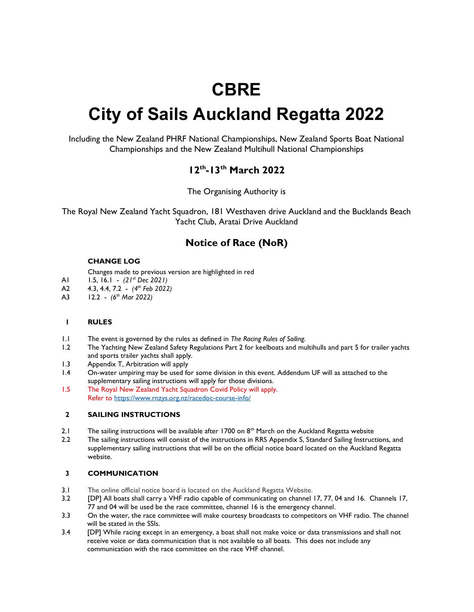# **CBRE**

# City of Sails Auckland Regatta 2022

Including the New Zealand PHRF National Championships, New Zealand Sports Boat National Championships and the New Zealand Multihull National Championships

# 12th-13th March 2022

The Organising Authority is

The Royal New Zealand Yacht Squadron, 181 Westhaven drive Auckland and the Bucklands Beach Yacht Club, Aratai Drive Auckland

# Notice of Race (NoR)

#### CHANGE LOG

Changes made to previous version are highlighted in red

- A1 1.5, 16.1  $(21^{st}$  Dec 2021)<br>A2 43 44 72  $(4^{th}$  Feb 2022
- 4.3, 4.4, 7.2  $(4<sup>th</sup>$  Feb 2022)
- A3 12.2  $(6^{th}$  Mar 2022)

# 1 RULES

- 1.1 The event is governed by the rules as defined in The Racing Rules of Sailing.
- 1.2 The Yachting New Zealand Safety Regulations Part 2 for keelboats and multihulls and part 5 for trailer yachts and sports trailer yachts shall apply.
- 1.3 Appendix T, Arbitration will apply
- 1.4 On-water umpiring may be used for some division in this event. Addendum UF will as attached to the supplementary sailing instructions will apply for those divisions.
- 1.5 The Royal New Zealand Yacht Squadron Covid Policy will apply. Refer to https://www.rnzys.org.nz/racedoc-course-info/

# 2 SAILING INSTRUCTIONS

- 2.1 The sailing instructions will be available after 1700 on  $8<sup>th</sup>$  March on the Auckland Regatta website
- 2.2 The sailing instructions will consist of the instructions in RRS Appendix S, Standard Sailing Instructions, and supplementary sailing instructions that will be on the official notice board located on the Auckland Regatta website.

# 3 COMMUNICATION

- 3.1 The online official notice board is located on the Auckland Regatta Website.
- 3.2 [DP] All boats shall carry a VHF radio capable of communicating on channel 17, 77, 04 and 16. Channels 17, 77 and 04 will be used be the race committee, channel 16 is the emergency channel.
- 3.3 On the water, the race committee will make courtesy broadcasts to competitors on VHF radio. The channel will be stated in the SSIs.
- 3.4 [DP] While racing except in an emergency, a boat shall not make voice or data transmissions and shall not receive voice or data communication that is not available to all boats. This does not include any communication with the race committee on the race VHF channel.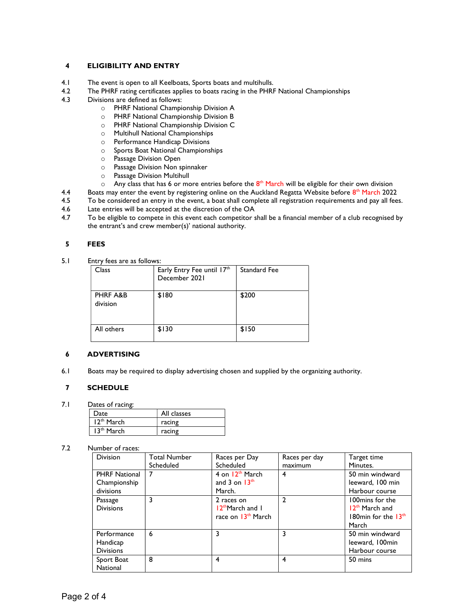# 4 ELIGIBILITY AND ENTRY

- 4.1 The event is open to all Keelboats, Sports boats and multihulls.
- 4.2 The PHRF rating certificates applies to boats racing in the PHRF National Championships
- 4.3 Divisions are defined as follows:
	- o PHRF National Championship Division A
	- o PHRF National Championship Division B
	- o PHRF National Championship Division C
	- o Multihull National Championships
	- o Performance Handicap Divisions
	- o Sports Boat National Championships
	- o Passage Division Open
	- o Passage Division Non spinnaker
	- o Passage Division Multihull
	- $\circ$  Any class that has 6 or more entries before the  $8^{th}$  March will be eligible for their own division
- 4.4 Boats may enter the event by registering online on the Auckland Regatta Website before  $8^{th}$  March 2022
- 4.5 To be considered an entry in the event, a boat shall complete all registration requirements and pay all fees.<br>4.6 Late entries will be accepted at the discretion of the OA
- Late entries will be accepted at the discretion of the OA
- 4.7 To be eligible to compete in this event each competitor shall be a financial member of a club recognised by the entrant's and crew member(s)' national authority.

#### 5 FEES

5.1 Entry fees are as follows:

| Class                | Early Entry Fee until 17th<br>December 2021 | Standard Fee |
|----------------------|---------------------------------------------|--------------|
| PHRF A&B<br>division | \$180                                       | \$200        |
| All others           | \$130                                       | \$150        |

#### 6 ADVERTISING

6.1 Boats may be required to display advertising chosen and supplied by the organizing authority.

# 7 SCHEDULE

7.1 Dates of racing:

| Date                   | All classes |
|------------------------|-------------|
| 12 <sup>th</sup> March | racing      |
| 13 <sup>th</sup> March | racing      |

#### 7.2 Number of races:

| <b>Division</b>        | <b>Total Number</b><br>Scheduled | Races per Day<br>Scheduled     | Races per day<br>maximum | Target time<br>Minutes.    |
|------------------------|----------------------------------|--------------------------------|--------------------------|----------------------------|
|                        |                                  |                                |                          |                            |
| <b>PHRF National</b>   | 7                                | 4 on 12 <sup>th</sup> March    | 4                        | 50 min windward            |
| Championship           |                                  | and 3 on $13th$                |                          | leeward, 100 min           |
| divisions              |                                  | March.                         |                          | Harbour course             |
| Passage                | 3                                | 2 races on                     | $\mathcal{P}$            | 100mins for the            |
| <b>Divisions</b>       |                                  | $12th$ March and I             |                          | 12 <sup>th</sup> March and |
|                        |                                  | race on 13 <sup>th</sup> March |                          | 180 $min$ for the $13th$   |
|                        |                                  |                                |                          | March                      |
| Performance            | 6                                | 3                              | 3                        | 50 min windward            |
| Handicap               |                                  |                                |                          | leeward, 100min            |
| <b>Divisions</b>       |                                  |                                |                          | Harbour course             |
| Sport Boat<br>National | 8                                | 4                              | 4                        | 50 mins                    |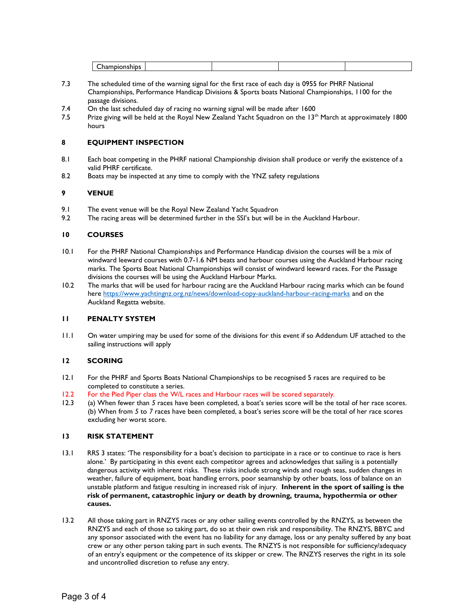- 7.3 The scheduled time of the warning signal for the first race of each day is 0955 for PHRF National Championships, Performance Handicap Divisions & Sports boats National Championships, 1100 for the passage divisions.
- 7.4 On the last scheduled day of racing no warning signal will be made after 1600
- 7.5 Prize giving will be held at the Royal New Zealand Yacht Squadron on the  $13<sup>th</sup>$  March at approximately 1800 hours

# 8 EQUIPMENT INSPECTION

- 8.1 Each boat competing in the PHRF national Championship division shall produce or verify the existence of a valid PHRF certificate.
- 8.2 Boats may be inspected at any time to comply with the YNZ safety regulations

# 9 VENUE

- 9.1 The event venue will be the Royal New Zealand Yacht Squadron
- 9.2 The racing areas will be determined further in the SSI's but will be in the Auckland Harbour.

# 10 COURSES

- 10.1 For the PHRF National Championships and Performance Handicap division the courses will be a mix of windward leeward courses with 0.7-1.6 NM beats and harbour courses using the Auckland Harbour racing marks. The Sports Boat National Championships will consist of windward leeward races. For the Passage divisions the courses will be using the Auckland Harbour Marks.
- 10.2 The marks that will be used for harbour racing are the Auckland Harbour racing marks which can be found here https://www.yachtingnz.org.nz/news/download-copy-auckland-harbour-racing-marks and on the Auckland Regatta website.

# 11 PENALTY SYSTEM

11.1 On water umpiring may be used for some of the divisions for this event if so Addendum UF attached to the sailing instructions will apply

# 12 SCORING

- 12.1 For the PHRF and Sports Boats National Championships to be recognised 5 races are required to be completed to constitute a series.
- 12.2 For the Pied Piper class the W/L races and Harbour races will be scored separately.
- 12.3 (a) When fewer than 5 races have been completed, a boat's series score will be the total of her race scores. (b) When from 5 to 7 races have been completed, a boat's series score will be the total of her race scores excluding her worst score.

# 13 RISK STATEMENT

- 13.1 RRS 3 states: 'The responsibility for a boat's decision to participate in a race or to continue to race is hers alone.' By participating in this event each competitor agrees and acknowledges that sailing is a potentially dangerous activity with inherent risks. These risks include strong winds and rough seas, sudden changes in weather, failure of equipment, boat handling errors, poor seamanship by other boats, loss of balance on an unstable platform and fatigue resulting in increased risk of injury. Inherent in the sport of sailing is the risk of permanent, catastrophic injury or death by drowning, trauma, hypothermia or other causes.
- 13.2 All those taking part in RNZYS races or any other sailing events controlled by the RNZYS, as between the RNZYS and each of those so taking part, do so at their own risk and responsibility. The RNZYS, BBYC and any sponsor associated with the event has no liability for any damage, loss or any penalty suffered by any boat crew or any other person taking part in such events. The RNZYS is not responsible for sufficiency/adequacy of an entry's equipment or the competence of its skipper or crew. The RNZYS reserves the right in its sole and uncontrolled discretion to refuse any entry.